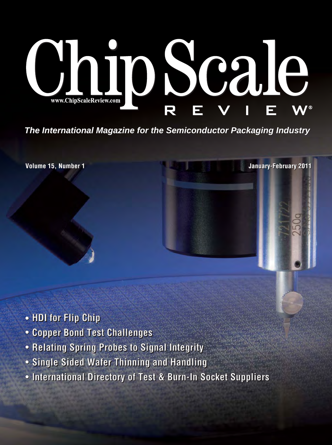# DSCale www.ChipScaleReview.com

*The International Magazine for the Semiconductor Packaging Industry The International Magazine for the Semiconductor Packaging Industry*

**Volume 15, Number 1 Volume 15, Number 1 January-February 2011 January-February 2011**

- **[HDI for Flip Chip](#page--1-0) HDI for Flip Chip**
- **[Copper Bond Test Challenges](#page--1-0) Copper Bond Test Challenges**
- **[Relating Spring Probes to Signal Integrity](#page--1-0)**
- **[Single Sided Wafer Thinning and Handling](#page--1-0) Single Sided Wafer Thinning and Handling**
- **[International Directory of Test & Burn-In Socket Suppliers](#page--1-0) International Directory of Test & Burn-In Socket Suppliers**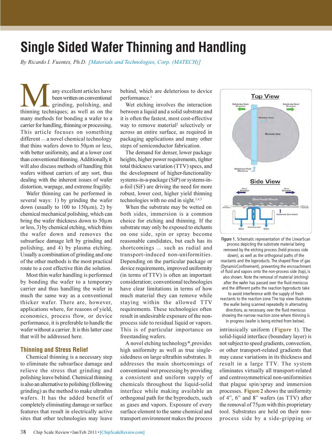## Single Sided Wafer Thinning and Handling

By Ricardo I. Fuentes, Ph.D. [Materials and Technologies, Corp. (MATECH)]

**THE MANU SERVIET A SET AND SET AND SET AND SET AND SET AND SET AND SET AND SET AND SET AND SET AND SET AND SET AND SET AND SET AND SET AND SET AND SET AND SET AND SET AND SET AND SET AND SET AND SET AND SET AND SET AND SE** been written on conventional grinding, polishing, and many methods for bonding a wafer to a carrier for handling, thinning or processing. This article focuses on something different — a novel chemical technology that thins wafers down to 50μm or less, with better uniformity, and at a lower cost than conventional thinning. Additionally, it will also discuss methods of handling thin wafers without carriers of any sort, thus dealing with the inherent issues of wafer distortion, warpage, and extreme fragility.

Wafer thinning can be performed in several ways: 1) by grinding the wafer down (usually to  $100$  to  $150 \mu m$ ), 2) by chemical mechanical polishing, which can bring the wafer thickness down to 50μm or less, 3) by chemical etching, which thins the wafer down and removes the subsurface damage left by grinding and polishing, and 4) by plasma etching. Usually a combination of grinding and one of the other methods is the most practical route to a cost effective thin die solution.

Most thin wafer handling is performed by bonding the wafer to a temporary carrier and thus handling the wafer in much the same way as a conventional thicker wafer. There are, however, applications where, for reasons of yield, economics, process flow, or device performance, it is preferable to handle the wafer without a carrier. It is this latter case that will be addressed here.

### Thinning and Stress Relief

Chemical thinning is a necessary step to eliminate the subsurface damage and relieve the stress that grinding and polishing leave behind. Chemical thinning is also an alternative to polishing (following grinding) as the method to make ultrathin wafers. It has the added benefit of completely eliminating damage or surface features that result in electrically active sites that other technologies may leave

behind, which are deleterious to device performance.<sup>1</sup>

Wet etching involves the interaction between a liquid and a solid substrate and it is often the fastest, most cost-effective way to remove material<sup>2</sup> selectively or across an entire surface, as required in packaging applications and many other steps of semiconductor fabrication.

The demand for denser, lower package heights, higher power requirements, tighter total thickness variation (TTV) specs, and the development of higher-functionality systems-in-a-package (SiP) or systems-ina-foil (SiF) are driving the need for more robust, lower cost, higher yield thinning technologies with no end in sight.3,4,5

When the substrate may be wetted on both sides, immersion is a common choice for etching and thinning. If the substrate may only be exposed to etchants on one side, spin or spray become reasonable candidates, but each has its shortcomings \_ such as radial and transport-induced non-uniformities. Depending on the particular package or device requirements, improved uniformity (in terms of TTV) is often an important consideration; conventional technologies have clear limitations in terms of how much material they can remove while staying within the allowed TTV requirements. These technologies often result in undesirable exposure of the nonprocess side to residual liquid or vapors. This is of particular importance on freestanding wafers.

A novel etching technology\*,provides high uniformity as well as true singlesidedness on large ultrathin substrates. It addresses the main shortcomings of conventional wet processing by providing a consistent and uniform supply of chemicals throughout the liquid-solid interface while making available an orthogonal path for the byproducts, such as gases and vapors. Exposure of every surface element to the same chemical and transport environment makes the process



Figure 1. Schematic representation of the LinearScan process depicting the substrate material being removed by the etching process (held process side down), as well as the orthogonal paths of the reactants and the byproducts. The shaped flow of gas (DynamicConfinement), preventing the encroachment of fluid and vapors onto the non-process side (top), is also shown. Note the removal of material (etching) after the wafer has passed over the fluid meniscus and the different paths the reaction byproducts take to avoid interference with the supply of fresh reactants to the reaction zone. The top view illustrates the wafer being scanned repeatedly in alternating directions, as necessary, over the fluid meniscus showing the narrow reaction zone where thinning is in progress (wafer is being etched from below).

intrinsically uniform (Figure 1). The solid-liquid interface (boundary layer) is not subject to speed gradients, convection, or other transport-related gradients that may cause variations in its thickness and result in a large TTV. The system eliminates virtually all transport-related and centrosymmetrical non-uniformities that plague spin/spray and immersion processes. Figure 2 shows the uniformity of 4", 6" and 8" wafers (as TTV) after the removal of 75μm with this proprietary tool. Substrates are held on their nonprocess side by a side-gripping or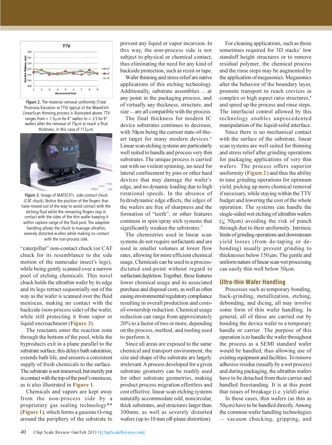

Figure 2. The material removal uniformity (Total Thickness Variation or TTV) typical of the WaveEtch LinearScan thinning process is illustrated above. TTV ranges from  $\pm 1.5 \mu$ m for 4" wafers to  $\pm 2.5$  for 8" wafers after the removal of 75μm to reach a final thickness, in this case, of 112μm.



Figure 3. Image of MATECH's side-contact chuck (CAT chuck). Notice the position of the fingers that have moved out of the way to avoid contact with the etching fluid while the remaining fingers stay in contact with the sides of the thin wafer keeping it within capture range of the fluid pool. The adaptive handling allows the chuck to manage ultrathin, severely distorted wafers while making no contact with the non-process side.

"caterpillar" non-contact chuck (or CAT chuck for its resemblance to the side motion of the namesake insect's legs), while being gently scanned over a narrow pool of etching chemicals. This novel chuck holds the ultrathin wafer by its edge and its legs retract sequentially out of the way as the wafer is scanned over the fluid meniscus, making no contact with the backside (non-process side) of the wafer, while still protecting it from vapor or liquid encroachment (Figure 3).

The reactants enter the reaction zone through the bottom of the pool, while the byproducts exit in a plane parallel to the substrate surface; this delays bath saturation, extends bath life, and ensures a consistent supply of fresh chemicals to the surface. The substrate is not immersed, but merely put in contact with the top of the pool's meniscus, as is also illustrated in Figure 1.

Chemicals and vapors are kept away from the non-process side by a proprietary gas sealing technology\*\* (Figure 1), which forms a gaseous O-ring around the periphery of the substrate to

prevent any liquid or vapor incursion. In this way, the non-process side is not subject to physical or chemical contact, thus eliminating the need for any kind of backside protection, such as resist or tape.

Wafer thinning and stress relief are native applications of this etching technology. Additionally, substrate assemblies  $=$  at any point in the packaging process, and of virtually any thickness, structure, and size — are all compatible with the process.

The final thickness for modern IC device substrates continues to decrease, with 50μm being the current state-of-theart target for many modern devices.<sup>6</sup> Linear scan etching systems are particularly well suited to handle and process very thin substrates. The unique process is carried out with no violent spinning, no need for lateral confinement by pins or other hard devices that may damage the wafer's edge, and no dynamic loading due to high rotational speeds. In the absence of hydrodynamic edge effects, the edges of the wafers are free of sharpness and the formation of "teeth", or other features common in spin/spray etch systems that significantly weaken the substrates.<sup>7</sup>

The chemistries used in linear scan systems do not require surfactants and are used in smaller volumes at lower flow rates, allowing for more efficient chemical usage. Chemicals can be used to a processdictated end-point without regard to surfactant depletion. Together, these features lower chemical usage and its associated purchase and disposal costs, as well as often easing environmental regulatory compliance resulting in overall production and costsof-ownership reduction. Chemical usage reduction can range from approximately 20% to a factor of two or more, depending on the process, method, and tooling used to perform it.

Since all areas are exposed to the same chemical and transport environment, the size and shape of the substrate are largely irrelevant. A process developed for a given substrate geometry can be readily used for other substrate geometries, making product process migration effortless and cost effective. linear scan etching systems naturally accommodate odd, noncircular, thick substrates, and structures larger than 300mm, as well as severely distorted wafers (up to 10 mm off-plane distortion).

For cleaning applications, such as those sometimes required for 3D stacks' low standoff height structures or to remove residual polymer, the chemical process and the rinse steps may be augmented by the application of megasonics. Megasonics alter the behavior of the boundary layer, promote transport to reach crevices in complex or high aspect ratio structures,<sup>8</sup> and speed up the process and rinse steps. The interfacial control allowed by this technology enables unprecedented manipulation of the liquid-solid interface.

Since there is no mechanical contact with the surface of the substrate, linear scan systems are well suited for thinning and stress relief after grinding operations for packaging applications of very thin wafers. The process offers superior uniformity ( $Figure 2$ ) and thus the ability to tune grinding operations for optimum yield, picking up more chemical removal if necessary, while staying within the TTV budget and lowering the cost of the whole operation. The systems can handle the single-sided wet etching of ultrathin wafers  $(\leq 50 \mu m)$  avoiding the risk of punch through due to their uniformity. Intrinsic limits of grinding operations and downstream yield losses (from de-taping or debonding) usually prevent grinding to thicknesses below 150μm. The gentle and uniform nature of linear scan wet processing can easily thin well below 50μm.

### Ultra-thin Wafer Handling

Processes such as temporary bonding, back-grinding, metallization, etching, debonding, and dicing, all may involve some form of thin wafer handling. In general, all of these are carried out by bonding the device wafer to a temporary handle or carrier. The purpose of this operation is to handle the wafer throughout the process as a SEMI standard wafer would be handled, thus allowing use of existing equipment and facilities. To remove adhesive residue (usually by a wet process) and during packaging, the ultrathin wafers have to be detached from their carrier and handled freestanding. It is at this point that issues of breakage (i.e. yield) arise.

In these cases, thin wafers (as thin as 50μm) have to be handled directly. Among the common wafer handling technologies \_ vacuum chucking, gripping, and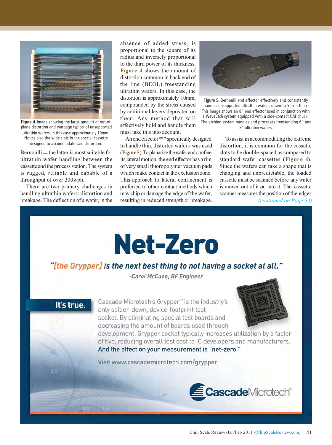

Figure 4. Image showing the large amount of out-ofplane distortion and warpage typical of unsupported ultrathin wafers. In this case approximately 10mm. Notice also the wide slots in the special cassette designed to accommodate said distortion.

Bernoulli \_ the latter is most suitable for ultrathin wafer handling between the cassette and the process station. The system is rugged, reliable and capable of a throughput of over 200wph.

There are two primary challenges in handling ultrathin wafers: distortion and breakage. The deflection of a wafer, in the

absence of added stress, is proportional to the square of its radius and inversely proportional to the third power of its thickness. Figure 4 shows the amount of distortion common in back end of the line (BEOL) freestanding ultrathin wafers. In this case, the distortion is approximately 10mm, compounded by the stress caused by additional layers deposited on them. Any method that will effectively hold and handle them must take this into account.

An end effector\*\*\* specifically designed to handle thin, distorted wafers was used (Figure 5). To planarize the wafer and confine its lateral motion, the end effector has a rim of very small fluoropolymer vacuum pads which make contact in the exclusion zone. This approach to lateral confinement is preferred to other contact methods which may chip or damage the edge of the wafer, resulting in reduced strength or breakage.



Figure 5. Bernoulli end effector effectively and consistently handles unsupported ultrathin wafers, down to 50μm thick. This image shows an 8" end effector used in conjunction with a WaveEtch system equipped with a side-contact CAT chuck. The etching system handles and processes freestanding 6" and 8" ultrathin wafers.

To assist in accommodating the extreme distortion, it is common for the cassette slots to be double-spaced as compared to standard wafer cassettes (Figure 4). Since the wafers can take a shape that is changing and unpredictable, the loaded cassette must be scanned before any wafer is moved out of it on into it. The cassette scanner measures the position of the edges

(continued on Page 53)